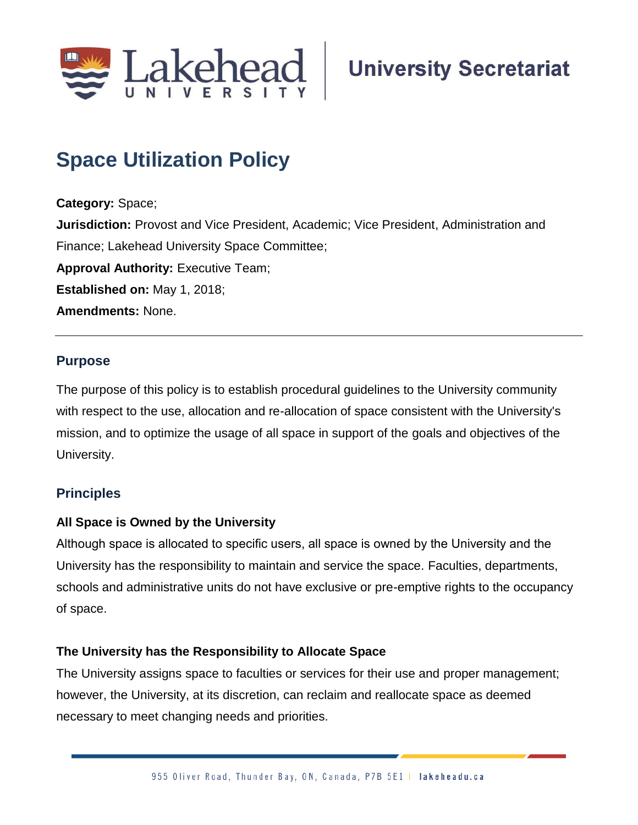

# **Space Utilization Policy**

**Category:** Space; **Jurisdiction:** Provost and Vice President, Academic; Vice President, Administration and Finance; Lakehead University Space Committee; **Approval Authority: Executive Team; Established on:** May 1, 2018; **Amendments:** None.

## **Purpose**

The purpose of this policy is to establish procedural guidelines to the University community with respect to the use, allocation and re-allocation of space consistent with the University's mission, and to optimize the usage of all space in support of the goals and objectives of the University.

# **Principles**

## **All Space is Owned by the University**

Although space is allocated to specific users, all space is owned by the University and the University has the responsibility to maintain and service the space. Faculties, departments, schools and administrative units do not have exclusive or pre-emptive rights to the occupancy of space.

## **The University has the Responsibility to Allocate Space**

The University assigns space to faculties or services for their use and proper management; however, the University, at its discretion, can reclaim and reallocate space as deemed necessary to meet changing needs and priorities.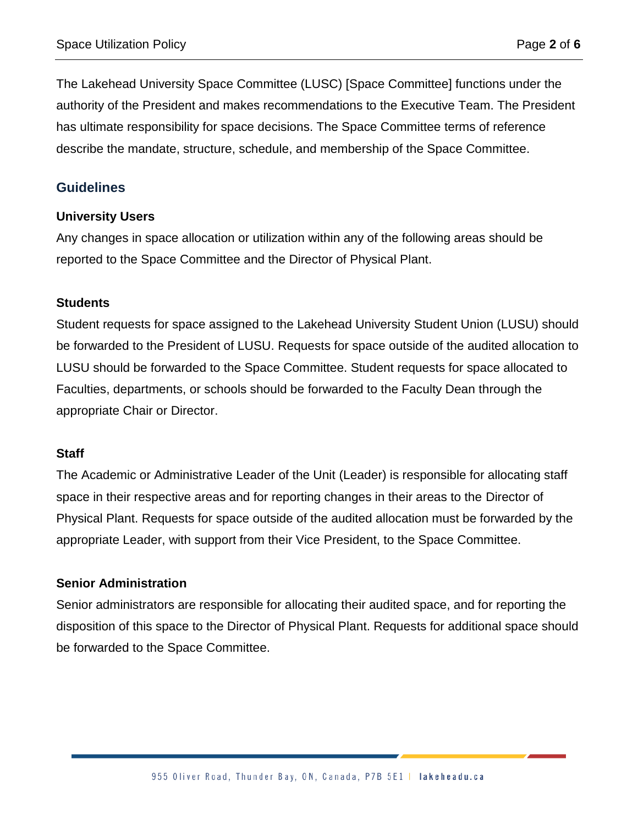The Lakehead University Space Committee (LUSC) [Space Committee] functions under the authority of the President and makes recommendations to the Executive Team. The President has ultimate responsibility for space decisions. The Space Committee terms of reference describe the mandate, structure, schedule, and membership of the Space Committee.

## **Guidelines**

#### **University Users**

Any changes in space allocation or utilization within any of the following areas should be reported to the Space Committee and the Director of Physical Plant.

#### **Students**

Student requests for space assigned to the Lakehead University Student Union (LUSU) should be forwarded to the President of LUSU. Requests for space outside of the audited allocation to LUSU should be forwarded to the Space Committee. Student requests for space allocated to Faculties, departments, or schools should be forwarded to the Faculty Dean through the appropriate Chair or Director.

#### **Staff**

The Academic or Administrative Leader of the Unit (Leader) is responsible for allocating staff space in their respective areas and for reporting changes in their areas to the Director of Physical Plant. Requests for space outside of the audited allocation must be forwarded by the appropriate Leader, with support from their Vice President, to the Space Committee.

#### **Senior Administration**

Senior administrators are responsible for allocating their audited space, and for reporting the disposition of this space to the Director of Physical Plant. Requests for additional space should be forwarded to the Space Committee.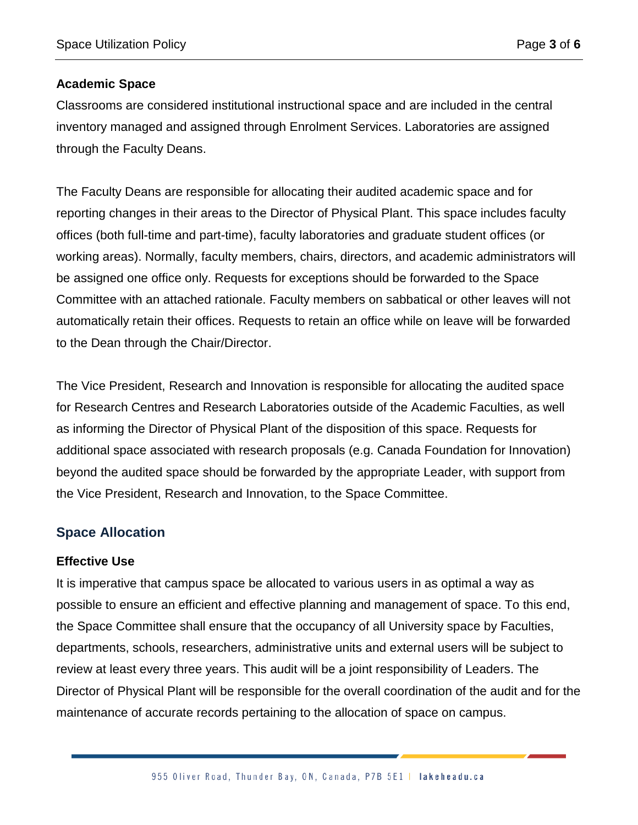#### **Academic Space**

Classrooms are considered institutional instructional space and are included in the central inventory managed and assigned through Enrolment Services. Laboratories are assigned through the Faculty Deans.

The Faculty Deans are responsible for allocating their audited academic space and for reporting changes in their areas to the Director of Physical Plant. This space includes faculty offices (both full-time and part-time), faculty laboratories and graduate student offices (or working areas). Normally, faculty members, chairs, directors, and academic administrators will be assigned one office only. Requests for exceptions should be forwarded to the Space Committee with an attached rationale. Faculty members on sabbatical or other leaves will not automatically retain their offices. Requests to retain an office while on leave will be forwarded to the Dean through the Chair/Director.

The Vice President, Research and Innovation is responsible for allocating the audited space for Research Centres and Research Laboratories outside of the Academic Faculties, as well as informing the Director of Physical Plant of the disposition of this space. Requests for additional space associated with research proposals (e.g. Canada Foundation for Innovation) beyond the audited space should be forwarded by the appropriate Leader, with support from the Vice President, Research and Innovation, to the Space Committee.

# **Space Allocation**

#### **Effective Use**

It is imperative that campus space be allocated to various users in as optimal a way as possible to ensure an efficient and effective planning and management of space. To this end, the Space Committee shall ensure that the occupancy of all University space by Faculties, departments, schools, researchers, administrative units and external users will be subject to review at least every three years. This audit will be a joint responsibility of Leaders. The Director of Physical Plant will be responsible for the overall coordination of the audit and for the maintenance of accurate records pertaining to the allocation of space on campus.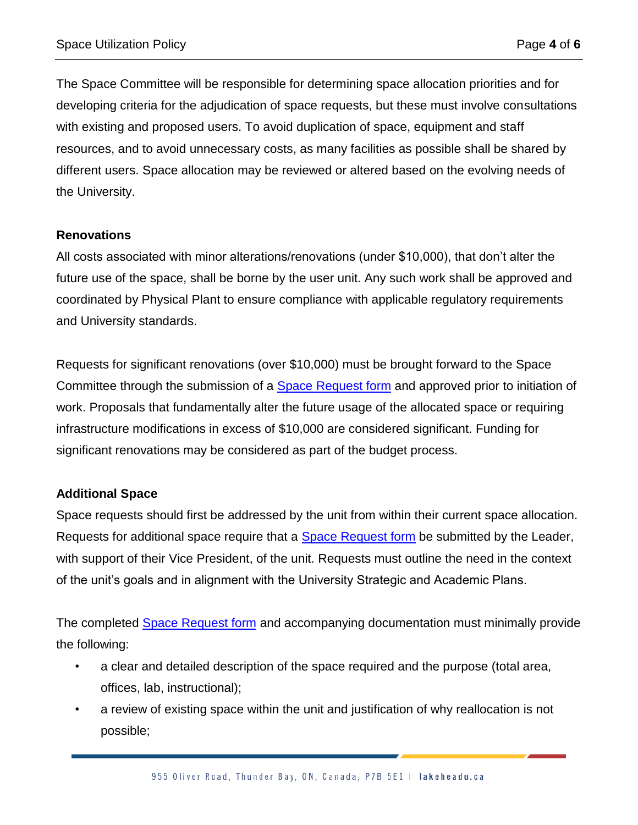The Space Committee will be responsible for determining space allocation priorities and for developing criteria for the adjudication of space requests, but these must involve consultations with existing and proposed users. To avoid duplication of space, equipment and staff resources, and to avoid unnecessary costs, as many facilities as possible shall be shared by different users. Space allocation may be reviewed or altered based on the evolving needs of the University.

#### **Renovations**

All costs associated with minor alterations/renovations (under \$10,000), that don't alter the future use of the space, shall be borne by the user unit. Any such work shall be approved and coordinated by Physical Plant to ensure compliance with applicable regulatory requirements and University standards.

Requests for significant renovations (over \$10,000) must be brought forward to the Space Committee through the submission of a [Space Request form](https://www.lakeheadu.ca/about/sg/policies-procedures-and-protocols/policies/list/node/52360) and approved prior to initiation of work. Proposals that fundamentally alter the future usage of the allocated space or requiring infrastructure modifications in excess of \$10,000 are considered significant. Funding for significant renovations may be considered as part of the budget process.

## **Additional Space**

Space requests should first be addressed by the unit from within their current space allocation. Requests for additional space require that a **Space Request form** be submitted by the Leader, with support of their Vice President, of the unit. Requests must outline the need in the context of the unit's goals and in alignment with the University Strategic and Academic Plans.

The completed [Space Request form](https://www.lakeheadu.ca/about/sg/policies-procedures-and-protocols/policies/list/node/52360) and accompanying documentation must minimally provide the following:

- a clear and detailed description of the space required and the purpose (total area, offices, lab, instructional);
- a review of existing space within the unit and justification of why reallocation is not possible;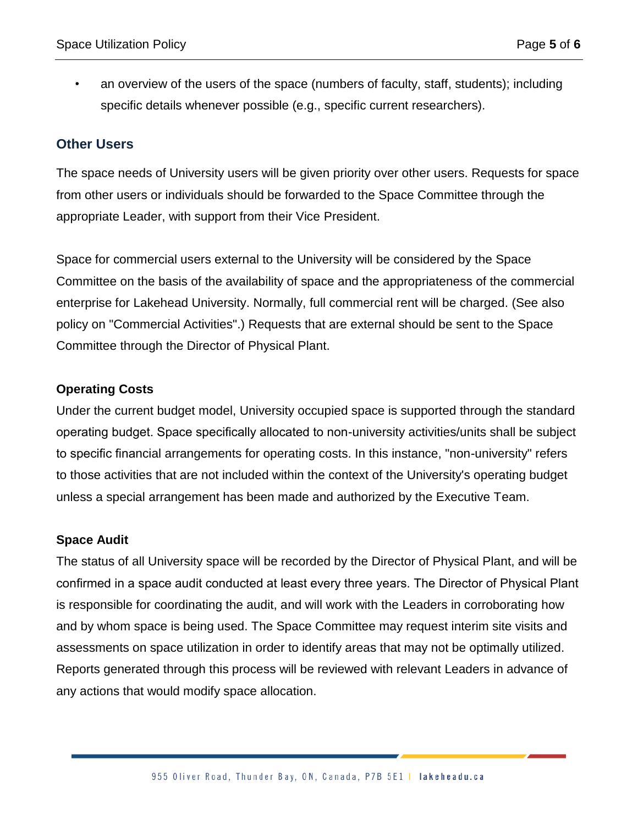• an overview of the users of the space (numbers of faculty, staff, students); including specific details whenever possible (e.g., specific current researchers).

#### **Other Users**

The space needs of University users will be given priority over other users. Requests for space from other users or individuals should be forwarded to the Space Committee through the appropriate Leader, with support from their Vice President.

Space for commercial users external to the University will be considered by the Space Committee on the basis of the availability of space and the appropriateness of the commercial enterprise for Lakehead University. Normally, full commercial rent will be charged. (See also policy on "Commercial Activities".) Requests that are external should be sent to the Space Committee through the Director of Physical Plant.

#### **Operating Costs**

Under the current budget model, University occupied space is supported through the standard operating budget. Space specifically allocated to non-university activities/units shall be subject to specific financial arrangements for operating costs. In this instance, "non-university" refers to those activities that are not included within the context of the University's operating budget unless a special arrangement has been made and authorized by the Executive Team.

#### **Space Audit**

The status of all University space will be recorded by the Director of Physical Plant, and will be confirmed in a space audit conducted at least every three years. The Director of Physical Plant is responsible for coordinating the audit, and will work with the Leaders in corroborating how and by whom space is being used. The Space Committee may request interim site visits and assessments on space utilization in order to identify areas that may not be optimally utilized. Reports generated through this process will be reviewed with relevant Leaders in advance of any actions that would modify space allocation.